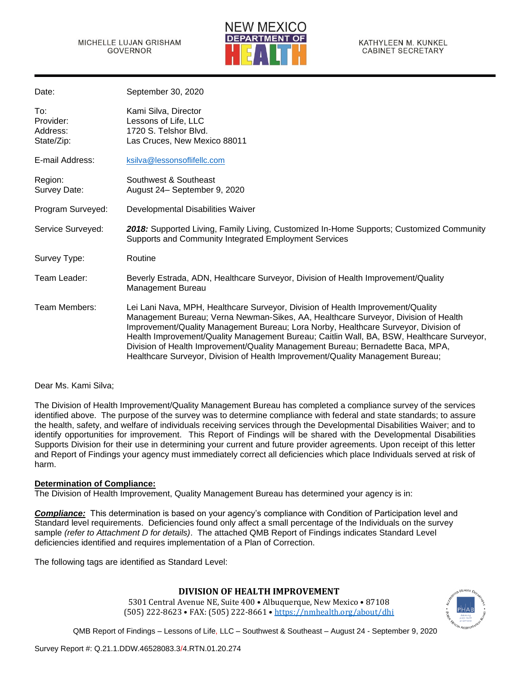

| Date:                                      | September 30, 2020                                                                                                                                                                                                                                                                                                                                                                                                                                                                                                             |
|--------------------------------------------|--------------------------------------------------------------------------------------------------------------------------------------------------------------------------------------------------------------------------------------------------------------------------------------------------------------------------------------------------------------------------------------------------------------------------------------------------------------------------------------------------------------------------------|
| To:<br>Provider:<br>Address:<br>State/Zip: | Kami Silva, Director<br>Lessons of Life, LLC<br>1720 S. Telshor Blvd.<br>Las Cruces, New Mexico 88011                                                                                                                                                                                                                                                                                                                                                                                                                          |
| E-mail Address:                            | ksilva@lessonsoflifellc.com                                                                                                                                                                                                                                                                                                                                                                                                                                                                                                    |
| Region:<br>Survey Date:                    | Southwest & Southeast<br>August 24- September 9, 2020                                                                                                                                                                                                                                                                                                                                                                                                                                                                          |
| Program Surveyed:                          | Developmental Disabilities Waiver                                                                                                                                                                                                                                                                                                                                                                                                                                                                                              |
| Service Surveyed:                          | 2018: Supported Living, Family Living, Customized In-Home Supports; Customized Community<br>Supports and Community Integrated Employment Services                                                                                                                                                                                                                                                                                                                                                                              |
| Survey Type:                               | Routine                                                                                                                                                                                                                                                                                                                                                                                                                                                                                                                        |
| Team Leader:                               | Beverly Estrada, ADN, Healthcare Surveyor, Division of Health Improvement/Quality<br>Management Bureau                                                                                                                                                                                                                                                                                                                                                                                                                         |
| Team Members:                              | Lei Lani Nava, MPH, Healthcare Surveyor, Division of Health Improvement/Quality<br>Management Bureau; Verna Newman-Sikes, AA, Healthcare Surveyor, Division of Health<br>Improvement/Quality Management Bureau; Lora Norby, Healthcare Surveyor, Division of<br>Health Improvement/Quality Management Bureau; Caitlin Wall, BA, BSW, Healthcare Surveyor,<br>Division of Health Improvement/Quality Management Bureau; Bernadette Baca, MPA,<br>Healthcare Surveyor, Division of Health Improvement/Quality Management Bureau; |

## Dear Ms. Kami Silva;

The Division of Health Improvement/Quality Management Bureau has completed a compliance survey of the services identified above. The purpose of the survey was to determine compliance with federal and state standards; to assure the health, safety, and welfare of individuals receiving services through the Developmental Disabilities Waiver; and to identify opportunities for improvement. This Report of Findings will be shared with the Developmental Disabilities Supports Division for their use in determining your current and future provider agreements. Upon receipt of this letter and Report of Findings your agency must immediately correct all deficiencies which place Individuals served at risk of harm.

# **Determination of Compliance:**

The Division of Health Improvement, Quality Management Bureau has determined your agency is in:

*Compliance:* This determination is based on your agency's compliance with Condition of Participation level and Standard level requirements. Deficiencies found only affect a small percentage of the Individuals on the survey sample *(refer to Attachment D for details)*. The attached QMB Report of Findings indicates Standard Level deficiencies identified and requires implementation of a Plan of Correction.

The following tags are identified as Standard Level:

# **DIVISION OF HEALTH IMPROVEMENT**

5301 Central Avenue NE, Suite 400 • Albuquerque, New Mexico • 87108 (505) 222-8623 • FAX: (505) 222-8661 • <https://nmhealth.org/about/dhi>

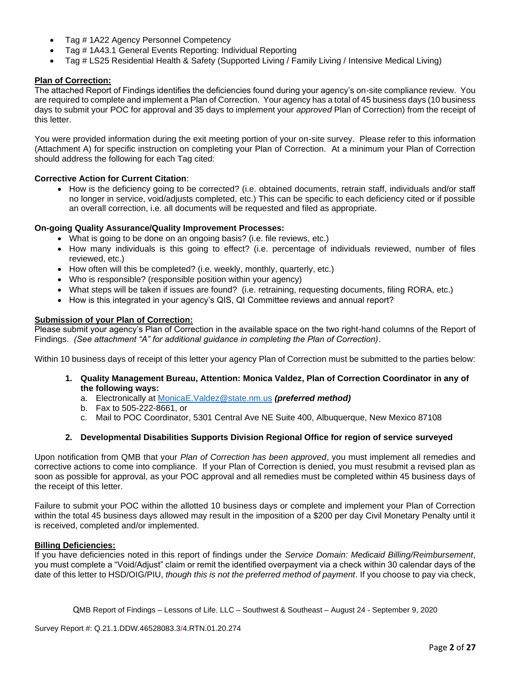- Tag # 1A22 Agency Personnel Competency
- Tag # 1A43.1 General Events Reporting: Individual Reporting
- Tag # LS25 Residential Health & Safety (Supported Living / Family Living / Intensive Medical Living)

# **Plan of Correction:**

The attached Report of Findings identifies the deficiencies found during your agency's on-site compliance review. You are required to complete and implement a Plan of Correction. Your agency has a total of 45 business days (10 business days to submit your POC for approval and 35 days to implement your *approved* Plan of Correction) from the receipt of this letter.

You were provided information during the exit meeting portion of your on-site survey. Please refer to this information (Attachment A) for specific instruction on completing your Plan of Correction. At a minimum your Plan of Correction should address the following for each Tag cited:

# **Corrective Action for Current Citation**:

• How is the deficiency going to be corrected? (i.e. obtained documents, retrain staff, individuals and/or staff no longer in service, void/adjusts completed, etc.) This can be specific to each deficiency cited or if possible an overall correction, i.e. all documents will be requested and filed as appropriate.

# **On-going Quality Assurance/Quality Improvement Processes:**

- What is going to be done on an ongoing basis? (i.e. file reviews, etc.)
- How many individuals is this going to effect? (i.e. percentage of individuals reviewed, number of files reviewed, etc.)
- How often will this be completed? (i.e. weekly, monthly, quarterly, etc.)
- Who is responsible? (responsible position within your agency)
- What steps will be taken if issues are found? (i.e. retraining, requesting documents, filing RORA, etc.)
- How is this integrated in your agency's QIS, QI Committee reviews and annual report?

# **Submission of your Plan of Correction:**

Please submit your agency's Plan of Correction in the available space on the two right-hand columns of the Report of Findings. *(See attachment "A" for additional guidance in completing the Plan of Correction)*.

Within 10 business days of receipt of this letter your agency Plan of Correction must be submitted to the parties below:

- **1. Quality Management Bureau, Attention: Monica Valdez, Plan of Correction Coordinator in any of the following ways:**
	- a. Electronically at [MonicaE.Valdez@state.nm.us](mailto:MonicaE.Valdez@state.nm.us) *(preferred method)*
	- b. Fax to 505-222-8661, or
	- c. Mail to POC Coordinator, 5301 Central Ave NE Suite 400, Albuquerque, New Mexico 87108

## **2. Developmental Disabilities Supports Division Regional Office for region of service surveyed**

Upon notification from QMB that your *Plan of Correction has been approved*, you must implement all remedies and corrective actions to come into compliance. If your Plan of Correction is denied, you must resubmit a revised plan as soon as possible for approval, as your POC approval and all remedies must be completed within 45 business days of the receipt of this letter.

Failure to submit your POC within the allotted 10 business days or complete and implement your Plan of Correction within the total 45 business days allowed may result in the imposition of a \$200 per day Civil Monetary Penalty until it is received, completed and/or implemented.

## **Billing Deficiencies:**

If you have deficiencies noted in this report of findings under the *Service Domain: Medicaid Billing/Reimbursement*, you must complete a "Void/Adjust" claim or remit the identified overpayment via a check within 30 calendar days of the date of this letter to HSD/OIG/PIU, *though this is not the preferred method of payment*. If you choose to pay via check,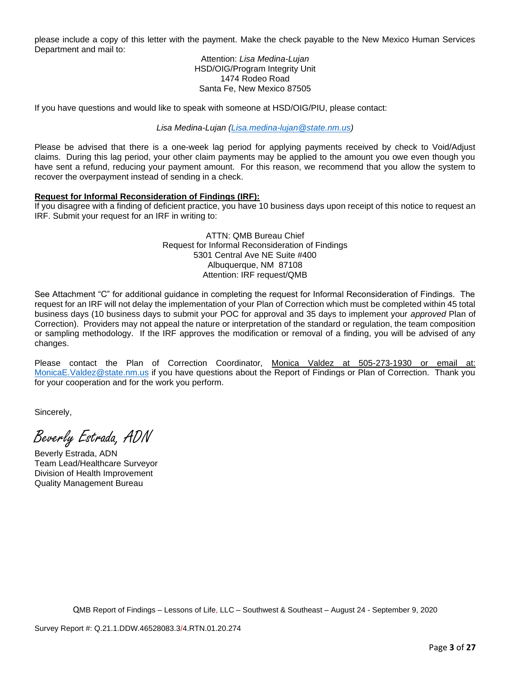please include a copy of this letter with the payment. Make the check payable to the New Mexico Human Services Department and mail to:

> Attention: *Lisa Medina-Lujan* HSD/OIG/Program Integrity Unit 1474 Rodeo Road Santa Fe, New Mexico 87505

If you have questions and would like to speak with someone at HSD/OIG/PIU, please contact:

*Lisa Medina-Lujan [\(Lisa.medina-lujan@state.nm.us\)](mailto:Lisa.medina-lujan@state.nm.us)*

Please be advised that there is a one-week lag period for applying payments received by check to Void/Adjust claims. During this lag period, your other claim payments may be applied to the amount you owe even though you have sent a refund, reducing your payment amount. For this reason, we recommend that you allow the system to recover the overpayment instead of sending in a check.

# **Request for Informal Reconsideration of Findings (IRF):**

If you disagree with a finding of deficient practice, you have 10 business days upon receipt of this notice to request an IRF. Submit your request for an IRF in writing to:

> ATTN: QMB Bureau Chief Request for Informal Reconsideration of Findings 5301 Central Ave NE Suite #400 Albuquerque, NM 87108 Attention: IRF request/QMB

See Attachment "C" for additional guidance in completing the request for Informal Reconsideration of Findings. The request for an IRF will not delay the implementation of your Plan of Correction which must be completed within 45 total business days (10 business days to submit your POC for approval and 35 days to implement your *approved* Plan of Correction). Providers may not appeal the nature or interpretation of the standard or regulation, the team composition or sampling methodology. If the IRF approves the modification or removal of a finding, you will be advised of any changes.

Please contact the Plan of Correction Coordinator, Monica Valdez at 505-273-1930 or email at: [MonicaE.Valdez@state.nm.us](mailto:MonicaE.Valdez@state.nm.us) if you have questions about the Report of Findings or Plan of Correction. Thank you for your cooperation and for the work you perform.

Sincerely,

Beverly Estrada, ADN

Beverly Estrada, ADN Team Lead/Healthcare Surveyor Division of Health Improvement Quality Management Bureau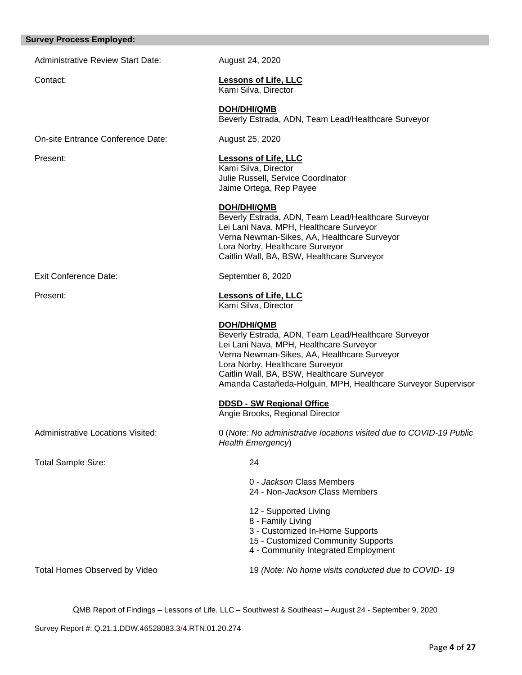#### **Survey Process Employed:**

Administrative Review Start Date: August 24, 2020

Contact: **Lessons of Life, LLC** Kami Silva, Director

> **DOH/DHI/QMB** Beverly Estrada, ADN, Team Lead/Healthcare Surveyor

On-site Entrance Conference Date: August 25, 2020

Present: **Lessons of Life, LLC**

Exit Conference Date: September 8, 2020

Kami Silva, Director Julie Russell, Service Coordinator Jaime Ortega, Rep Payee

**DOH/DHI/QMB**

Beverly Estrada, ADN, Team Lead/Healthcare Surveyor Lei Lani Nava, MPH, Healthcare Surveyor Verna Newman-Sikes, AA, Healthcare Surveyor Lora Norby, Healthcare Surveyor Caitlin Wall, BA, BSW, Healthcare Surveyor

Present: **Lessons of Life, LLC** Kami Silva, Director

**DOH/DHI/QMB**

Beverly Estrada, ADN, Team Lead/Healthcare Surveyor Lei Lani Nava, MPH, Healthcare Surveyor Verna Newman-Sikes, AA, Healthcare Surveyor Lora Norby, Healthcare Surveyor Caitlin Wall, BA, BSW, Healthcare Surveyor Amanda Castañeda-Holguin, MPH, Healthcare Surveyor Supervisor

**DDSD - SW Regional Office** 

Angie Brooks, Regional Director

Total Sample Size: 24

Administrative Locations Visited: 0 (*Note: No administrative locations visited due to COVID-19 Public Health Emergency*)

0 - *Jackson* Class Members - Non-*Jackson* Class Members - Supported Living - Family Living - Customized In-Home Supports - Customized Community Supports

4 - Community Integrated Employment

Total Homes Observed by Video 19 *(Note: No home visits conducted due to COVID- 19*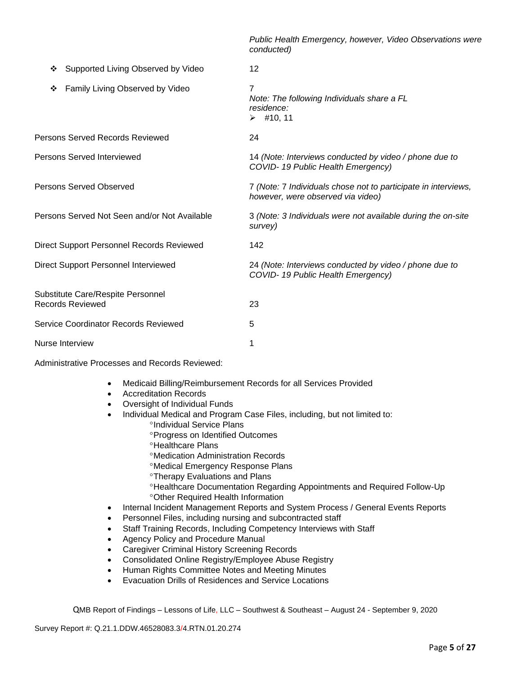|                                                              | Public Health Emergency, however, Video Observations were<br>conducted)                             |
|--------------------------------------------------------------|-----------------------------------------------------------------------------------------------------|
| Supported Living Observed by Video<br>❖                      | 12                                                                                                  |
| Family Living Observed by Video<br>❖                         | 7<br>Note: The following Individuals share a FL<br>residence:<br>$\geq$ #10, 11                     |
| Persons Served Records Reviewed                              | 24                                                                                                  |
| Persons Served Interviewed                                   | 14 (Note: Interviews conducted by video / phone due to<br>COVID-19 Public Health Emergency)         |
| Persons Served Observed                                      | 7 (Note: 7 Individuals chose not to participate in interviews,<br>however, were observed via video) |
| Persons Served Not Seen and/or Not Available                 | 3 (Note: 3 Individuals were not available during the on-site<br>survey)                             |
| Direct Support Personnel Records Reviewed                    | 142                                                                                                 |
| Direct Support Personnel Interviewed                         | 24 (Note: Interviews conducted by video / phone due to<br>COVID-19 Public Health Emergency)         |
| Substitute Care/Respite Personnel<br><b>Records Reviewed</b> | 23                                                                                                  |
| Service Coordinator Records Reviewed                         | 5                                                                                                   |
| Nurse Interview                                              | 1                                                                                                   |

Administrative Processes and Records Reviewed:

- Medicaid Billing/Reimbursement Records for all Services Provided
- Accreditation Records
- Oversight of Individual Funds
- Individual Medical and Program Case Files, including, but not limited to:
	- <sup>o</sup>Individual Service Plans
	- **Progress on Identified Outcomes**
	- <sup>o</sup>Healthcare Plans
	- Medication Administration Records
	- Medical Emergency Response Plans
	- Therapy Evaluations and Plans
	- Healthcare Documentation Regarding Appointments and Required Follow-Up Other Required Health Information
- Internal Incident Management Reports and System Process / General Events Reports
- Personnel Files, including nursing and subcontracted staff
- Staff Training Records, Including Competency Interviews with Staff
- Agency Policy and Procedure Manual
- Caregiver Criminal History Screening Records
- Consolidated Online Registry/Employee Abuse Registry
- Human Rights Committee Notes and Meeting Minutes
- Evacuation Drills of Residences and Service Locations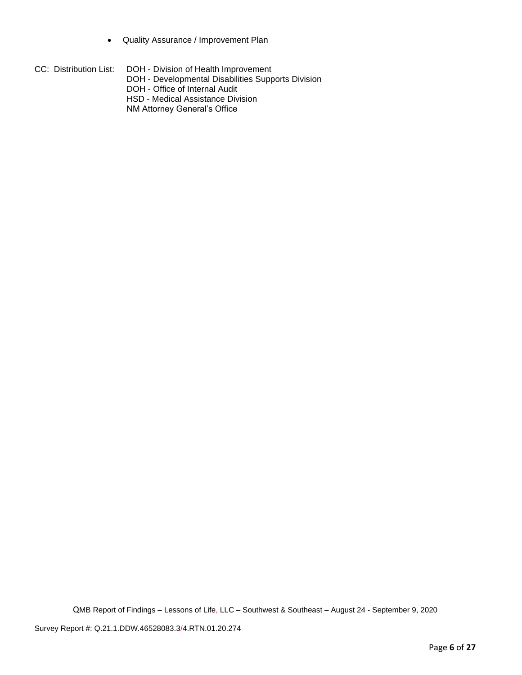- Quality Assurance / Improvement Plan
- CC: Distribution List: DOH Division of Health Improvement DOH - Developmental Disabilities Supports Division DOH - Office of Internal Audit HSD - Medical Assistance Division NM Attorney General's Office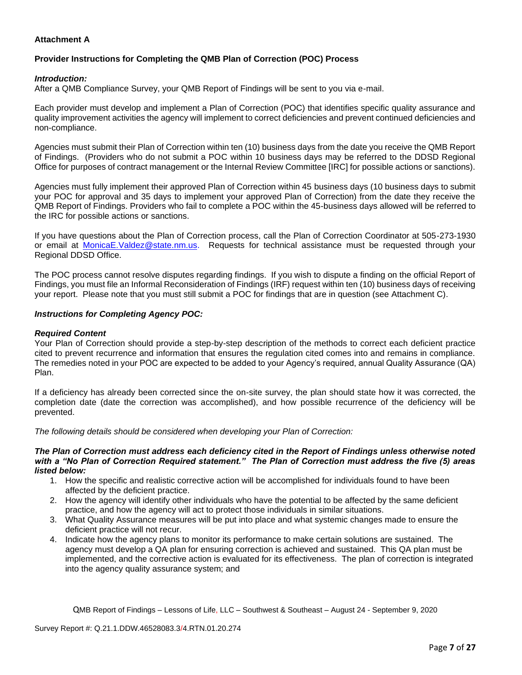# **Attachment A**

# **Provider Instructions for Completing the QMB Plan of Correction (POC) Process**

# *Introduction:*

After a QMB Compliance Survey, your QMB Report of Findings will be sent to you via e-mail.

Each provider must develop and implement a Plan of Correction (POC) that identifies specific quality assurance and quality improvement activities the agency will implement to correct deficiencies and prevent continued deficiencies and non-compliance.

Agencies must submit their Plan of Correction within ten (10) business days from the date you receive the QMB Report of Findings. (Providers who do not submit a POC within 10 business days may be referred to the DDSD Regional Office for purposes of contract management or the Internal Review Committee [IRC] for possible actions or sanctions).

Agencies must fully implement their approved Plan of Correction within 45 business days (10 business days to submit your POC for approval and 35 days to implement your approved Plan of Correction) from the date they receive the QMB Report of Findings. Providers who fail to complete a POC within the 45-business days allowed will be referred to the IRC for possible actions or sanctions.

If you have questions about the Plan of Correction process, call the Plan of Correction Coordinator at 505-273-1930 or email at [MonicaE.Valdez@state.nm.us.](mailto:MonicaE.Valdez@state.nm.us) Requests for technical assistance must be requested through your Regional DDSD Office.

The POC process cannot resolve disputes regarding findings. If you wish to dispute a finding on the official Report of Findings, you must file an Informal Reconsideration of Findings (IRF) request within ten (10) business days of receiving your report. Please note that you must still submit a POC for findings that are in question (see Attachment C).

## *Instructions for Completing Agency POC:*

# *Required Content*

Your Plan of Correction should provide a step-by-step description of the methods to correct each deficient practice cited to prevent recurrence and information that ensures the regulation cited comes into and remains in compliance. The remedies noted in your POC are expected to be added to your Agency's required, annual Quality Assurance (QA) Plan.

If a deficiency has already been corrected since the on-site survey, the plan should state how it was corrected, the completion date (date the correction was accomplished), and how possible recurrence of the deficiency will be prevented.

*The following details should be considered when developing your Plan of Correction:*

#### *The Plan of Correction must address each deficiency cited in the Report of Findings unless otherwise noted with a "No Plan of Correction Required statement." The Plan of Correction must address the five (5) areas listed below:*

- 1. How the specific and realistic corrective action will be accomplished for individuals found to have been affected by the deficient practice.
- 2. How the agency will identify other individuals who have the potential to be affected by the same deficient practice, and how the agency will act to protect those individuals in similar situations.
- 3. What Quality Assurance measures will be put into place and what systemic changes made to ensure the deficient practice will not recur.
- 4. Indicate how the agency plans to monitor its performance to make certain solutions are sustained. The agency must develop a QA plan for ensuring correction is achieved and sustained. This QA plan must be implemented, and the corrective action is evaluated for its effectiveness. The plan of correction is integrated into the agency quality assurance system; and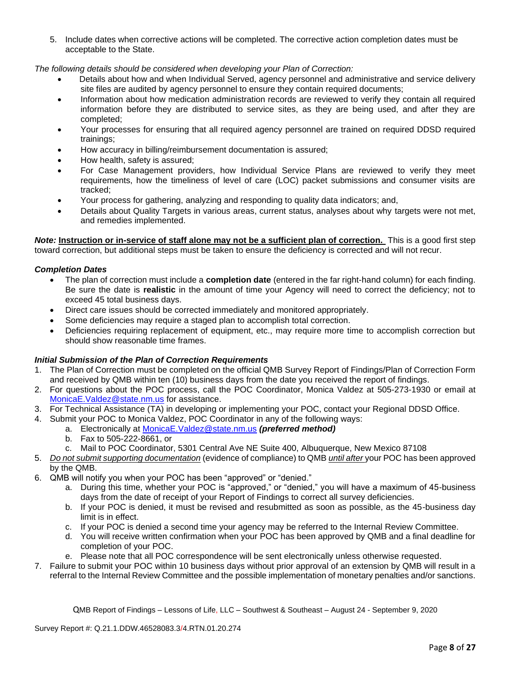5. Include dates when corrective actions will be completed. The corrective action completion dates must be acceptable to the State.

*The following details should be considered when developing your Plan of Correction:*

- Details about how and when Individual Served, agency personnel and administrative and service delivery site files are audited by agency personnel to ensure they contain required documents;
- Information about how medication administration records are reviewed to verify they contain all required information before they are distributed to service sites, as they are being used, and after they are completed;
- Your processes for ensuring that all required agency personnel are trained on required DDSD required trainings;
- How accuracy in billing/reimbursement documentation is assured;
- How health, safety is assured;
- For Case Management providers, how Individual Service Plans are reviewed to verify they meet requirements, how the timeliness of level of care (LOC) packet submissions and consumer visits are tracked;
- Your process for gathering, analyzing and responding to quality data indicators; and,
- Details about Quality Targets in various areas, current status, analyses about why targets were not met, and remedies implemented.

*Note:* **Instruction or in-service of staff alone may not be a sufficient plan of correction.** This is a good first step toward correction, but additional steps must be taken to ensure the deficiency is corrected and will not recur.

## *Completion Dates*

- The plan of correction must include a **completion date** (entered in the far right-hand column) for each finding. Be sure the date is **realistic** in the amount of time your Agency will need to correct the deficiency; not to exceed 45 total business days.
- Direct care issues should be corrected immediately and monitored appropriately.
- Some deficiencies may require a staged plan to accomplish total correction.
- Deficiencies requiring replacement of equipment, etc., may require more time to accomplish correction but should show reasonable time frames.

## *Initial Submission of the Plan of Correction Requirements*

- 1. The Plan of Correction must be completed on the official QMB Survey Report of Findings/Plan of Correction Form and received by QMB within ten (10) business days from the date you received the report of findings.
- 2. For questions about the POC process, call the POC Coordinator, Monica Valdez at 505-273-1930 or email at [MonicaE.Valdez@state.nm.us](mailto:MonicaE.Valdez@state.nm.us) for assistance.
- 3. For Technical Assistance (TA) in developing or implementing your POC, contact your Regional DDSD Office.
- 4. Submit your POC to Monica Valdez, POC Coordinator in any of the following ways:
	- a. Electronically at [MonicaE.Valdez@state.nm.us](mailto:MonicaE.Valdez@state.nm.us) *(preferred method)*
	- b. Fax to 505-222-8661, or
	- c. Mail to POC Coordinator, 5301 Central Ave NE Suite 400, Albuquerque, New Mexico 87108
- 5. *Do not submit supporting documentation* (evidence of compliance) to QMB *until after* your POC has been approved by the QMB.
- 6. QMB will notify you when your POC has been "approved" or "denied."
	- a. During this time, whether your POC is "approved," or "denied," you will have a maximum of 45-business days from the date of receipt of your Report of Findings to correct all survey deficiencies.
	- b. If your POC is denied, it must be revised and resubmitted as soon as possible, as the 45-business day limit is in effect.
	- c. If your POC is denied a second time your agency may be referred to the Internal Review Committee.
	- d. You will receive written confirmation when your POC has been approved by QMB and a final deadline for completion of your POC.
	- e. Please note that all POC correspondence will be sent electronically unless otherwise requested.
- 7. Failure to submit your POC within 10 business days without prior approval of an extension by QMB will result in a referral to the Internal Review Committee and the possible implementation of monetary penalties and/or sanctions.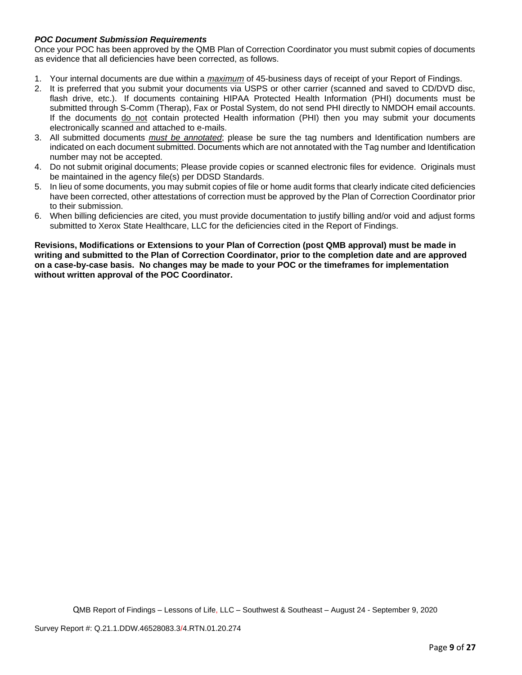# *POC Document Submission Requirements*

Once your POC has been approved by the QMB Plan of Correction Coordinator you must submit copies of documents as evidence that all deficiencies have been corrected, as follows.

- 1. Your internal documents are due within a *maximum* of 45-business days of receipt of your Report of Findings.
- 2. It is preferred that you submit your documents via USPS or other carrier (scanned and saved to CD/DVD disc, flash drive, etc.). If documents containing HIPAA Protected Health Information (PHI) documents must be submitted through S-Comm (Therap), Fax or Postal System, do not send PHI directly to NMDOH email accounts. If the documents do not contain protected Health information (PHI) then you may submit your documents electronically scanned and attached to e-mails.
- 3. All submitted documents *must be annotated*; please be sure the tag numbers and Identification numbers are indicated on each document submitted. Documents which are not annotated with the Tag number and Identification number may not be accepted.
- 4. Do not submit original documents; Please provide copies or scanned electronic files for evidence. Originals must be maintained in the agency file(s) per DDSD Standards.
- 5. In lieu of some documents, you may submit copies of file or home audit forms that clearly indicate cited deficiencies have been corrected, other attestations of correction must be approved by the Plan of Correction Coordinator prior to their submission.
- 6. When billing deficiencies are cited, you must provide documentation to justify billing and/or void and adjust forms submitted to Xerox State Healthcare, LLC for the deficiencies cited in the Report of Findings.

**Revisions, Modifications or Extensions to your Plan of Correction (post QMB approval) must be made in writing and submitted to the Plan of Correction Coordinator, prior to the completion date and are approved on a case-by-case basis. No changes may be made to your POC or the timeframes for implementation without written approval of the POC Coordinator.**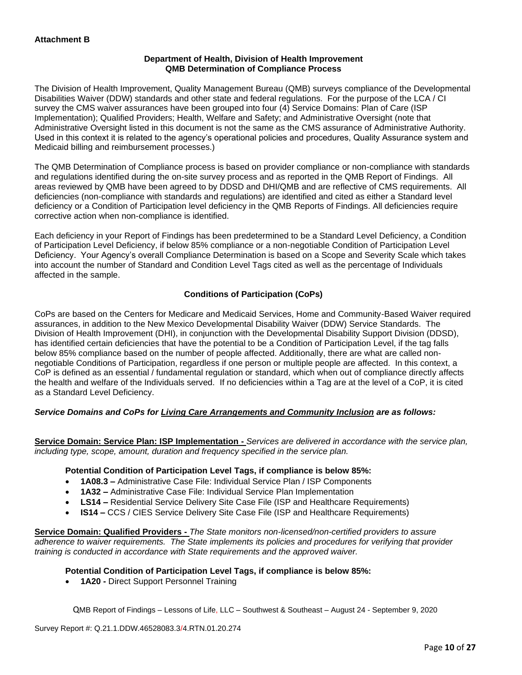# **Department of Health, Division of Health Improvement QMB Determination of Compliance Process**

The Division of Health Improvement, Quality Management Bureau (QMB) surveys compliance of the Developmental Disabilities Waiver (DDW) standards and other state and federal regulations. For the purpose of the LCA / CI survey the CMS waiver assurances have been grouped into four (4) Service Domains: Plan of Care (ISP Implementation); Qualified Providers; Health, Welfare and Safety; and Administrative Oversight (note that Administrative Oversight listed in this document is not the same as the CMS assurance of Administrative Authority. Used in this context it is related to the agency's operational policies and procedures, Quality Assurance system and Medicaid billing and reimbursement processes.)

The QMB Determination of Compliance process is based on provider compliance or non-compliance with standards and regulations identified during the on-site survey process and as reported in the QMB Report of Findings. All areas reviewed by QMB have been agreed to by DDSD and DHI/QMB and are reflective of CMS requirements. All deficiencies (non-compliance with standards and regulations) are identified and cited as either a Standard level deficiency or a Condition of Participation level deficiency in the QMB Reports of Findings. All deficiencies require corrective action when non-compliance is identified.

Each deficiency in your Report of Findings has been predetermined to be a Standard Level Deficiency, a Condition of Participation Level Deficiency, if below 85% compliance or a non-negotiable Condition of Participation Level Deficiency. Your Agency's overall Compliance Determination is based on a Scope and Severity Scale which takes into account the number of Standard and Condition Level Tags cited as well as the percentage of Individuals affected in the sample.

# **Conditions of Participation (CoPs)**

CoPs are based on the Centers for Medicare and Medicaid Services, Home and Community-Based Waiver required assurances, in addition to the New Mexico Developmental Disability Waiver (DDW) Service Standards. The Division of Health Improvement (DHI), in conjunction with the Developmental Disability Support Division (DDSD), has identified certain deficiencies that have the potential to be a Condition of Participation Level, if the tag falls below 85% compliance based on the number of people affected. Additionally, there are what are called nonnegotiable Conditions of Participation, regardless if one person or multiple people are affected. In this context, a CoP is defined as an essential / fundamental regulation or standard, which when out of compliance directly affects the health and welfare of the Individuals served. If no deficiencies within a Tag are at the level of a CoP, it is cited as a Standard Level Deficiency.

# *Service Domains and CoPs for Living Care Arrangements and Community Inclusion are as follows:*

**Service Domain: Service Plan: ISP Implementation -** *Services are delivered in accordance with the service plan, including type, scope, amount, duration and frequency specified in the service plan.*

## **Potential Condition of Participation Level Tags, if compliance is below 85%:**

- **1A08.3 –** Administrative Case File: Individual Service Plan / ISP Components
- **1A32 –** Administrative Case File: Individual Service Plan Implementation
- **LS14 –** Residential Service Delivery Site Case File (ISP and Healthcare Requirements)
- **IS14 –** CCS / CIES Service Delivery Site Case File (ISP and Healthcare Requirements)

**Service Domain: Qualified Providers -** *The State monitors non-licensed/non-certified providers to assure adherence to waiver requirements. The State implements its policies and procedures for verifying that provider training is conducted in accordance with State requirements and the approved waiver.*

## **Potential Condition of Participation Level Tags, if compliance is below 85%:**

• **1A20 -** Direct Support Personnel Training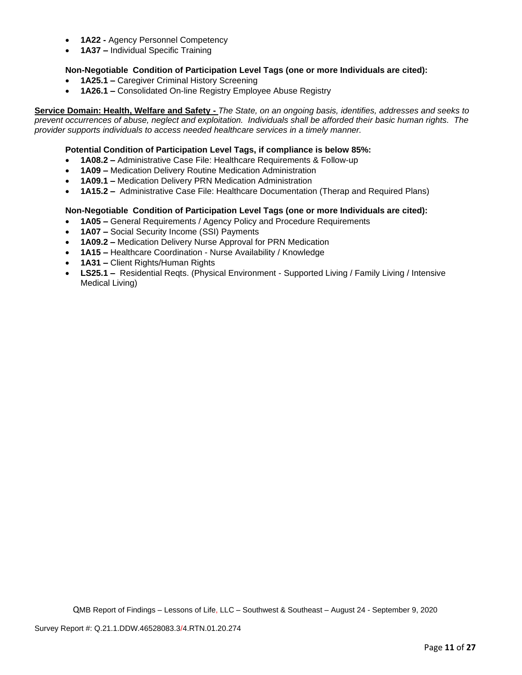- **1A22 -** Agency Personnel Competency
- **1A37 –** Individual Specific Training

# **Non-Negotiable Condition of Participation Level Tags (one or more Individuals are cited):**

- **1A25.1 –** Caregiver Criminal History Screening
- **1A26.1 –** Consolidated On-line Registry Employee Abuse Registry

**Service Domain: Health, Welfare and Safety -** *The State, on an ongoing basis, identifies, addresses and seeks to prevent occurrences of abuse, neglect and exploitation. Individuals shall be afforded their basic human rights. The provider supports individuals to access needed healthcare services in a timely manner.*

# **Potential Condition of Participation Level Tags, if compliance is below 85%:**

- **1A08.2 –** Administrative Case File: Healthcare Requirements & Follow-up
- **1A09 –** Medication Delivery Routine Medication Administration
- **1A09.1 –** Medication Delivery PRN Medication Administration
- **1A15.2 –** Administrative Case File: Healthcare Documentation (Therap and Required Plans)

# **Non-Negotiable Condition of Participation Level Tags (one or more Individuals are cited):**

- **1A05 –** General Requirements / Agency Policy and Procedure Requirements
- **1A07 –** Social Security Income (SSI) Payments
- **1A09.2 –** Medication Delivery Nurse Approval for PRN Medication
- **1A15 –** Healthcare Coordination Nurse Availability / Knowledge
- **1A31 –** Client Rights/Human Rights
- **LS25.1 –** Residential Reqts. (Physical Environment Supported Living / Family Living / Intensive Medical Living)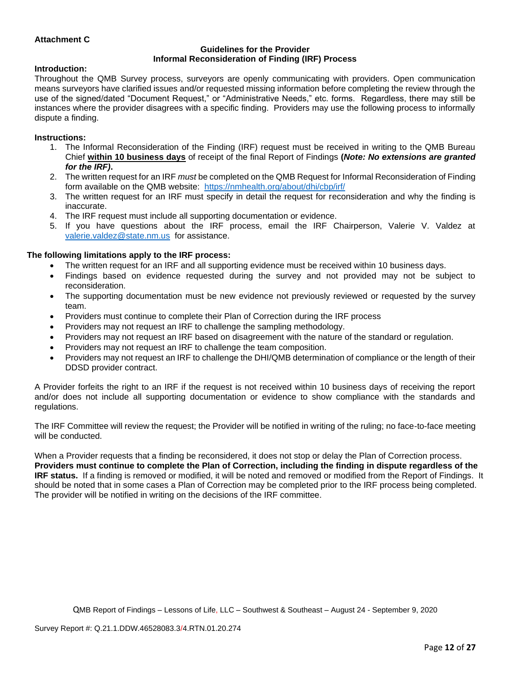# **Attachment C**

#### **Guidelines for the Provider Informal Reconsideration of Finding (IRF) Process**

#### **Introduction:**

Throughout the QMB Survey process, surveyors are openly communicating with providers. Open communication means surveyors have clarified issues and/or requested missing information before completing the review through the use of the signed/dated "Document Request," or "Administrative Needs," etc. forms. Regardless, there may still be instances where the provider disagrees with a specific finding. Providers may use the following process to informally dispute a finding.

#### **Instructions:**

- 1. The Informal Reconsideration of the Finding (IRF) request must be received in writing to the QMB Bureau Chief **within 10 business days** of receipt of the final Report of Findings **(***Note: No extensions are granted for the IRF)***.**
- 2. The written request for an IRF *must* be completed on the QMB Request for Informal Reconsideration of Finding form available on the QMB website: <https://nmhealth.org/about/dhi/cbp/irf/>
- 3. The written request for an IRF must specify in detail the request for reconsideration and why the finding is inaccurate.
- 4. The IRF request must include all supporting documentation or evidence.
- 5. If you have questions about the IRF process, email the IRF Chairperson, Valerie V. Valdez at [valerie.valdez@state.nm.us](mailto:valerie.valdez@state.nm.us) for assistance.

#### **The following limitations apply to the IRF process:**

- The written request for an IRF and all supporting evidence must be received within 10 business days.
- Findings based on evidence requested during the survey and not provided may not be subject to reconsideration.
- The supporting documentation must be new evidence not previously reviewed or requested by the survey team.
- Providers must continue to complete their Plan of Correction during the IRF process
- Providers may not request an IRF to challenge the sampling methodology.
- Providers may not request an IRF based on disagreement with the nature of the standard or regulation.
- Providers may not request an IRF to challenge the team composition.
- Providers may not request an IRF to challenge the DHI/QMB determination of compliance or the length of their DDSD provider contract.

A Provider forfeits the right to an IRF if the request is not received within 10 business days of receiving the report and/or does not include all supporting documentation or evidence to show compliance with the standards and regulations.

The IRF Committee will review the request; the Provider will be notified in writing of the ruling; no face-to-face meeting will be conducted.

When a Provider requests that a finding be reconsidered, it does not stop or delay the Plan of Correction process. **Providers must continue to complete the Plan of Correction, including the finding in dispute regardless of the IRF status.** If a finding is removed or modified, it will be noted and removed or modified from the Report of Findings. It should be noted that in some cases a Plan of Correction may be completed prior to the IRF process being completed. The provider will be notified in writing on the decisions of the IRF committee.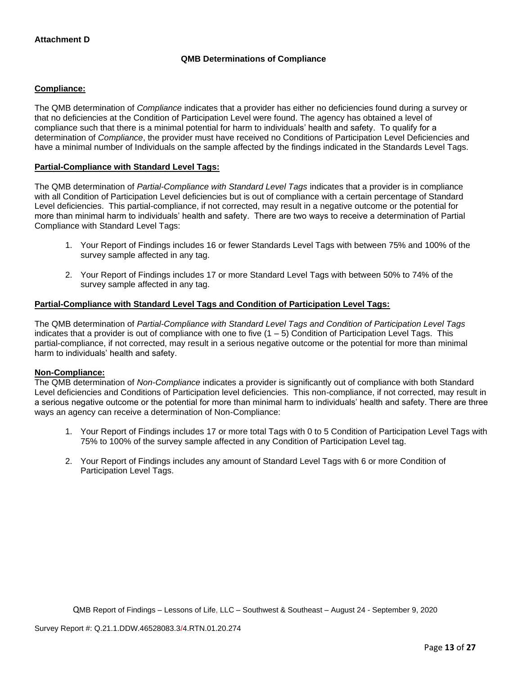# **QMB Determinations of Compliance**

# **Compliance:**

The QMB determination of *Compliance* indicates that a provider has either no deficiencies found during a survey or that no deficiencies at the Condition of Participation Level were found. The agency has obtained a level of compliance such that there is a minimal potential for harm to individuals' health and safety. To qualify for a determination of *Compliance*, the provider must have received no Conditions of Participation Level Deficiencies and have a minimal number of Individuals on the sample affected by the findings indicated in the Standards Level Tags.

# **Partial-Compliance with Standard Level Tags:**

The QMB determination of *Partial-Compliance with Standard Level Tags* indicates that a provider is in compliance with all Condition of Participation Level deficiencies but is out of compliance with a certain percentage of Standard Level deficiencies. This partial-compliance, if not corrected, may result in a negative outcome or the potential for more than minimal harm to individuals' health and safety. There are two ways to receive a determination of Partial Compliance with Standard Level Tags:

- 1. Your Report of Findings includes 16 or fewer Standards Level Tags with between 75% and 100% of the survey sample affected in any tag.
- 2. Your Report of Findings includes 17 or more Standard Level Tags with between 50% to 74% of the survey sample affected in any tag.

# **Partial-Compliance with Standard Level Tags and Condition of Participation Level Tags:**

The QMB determination of *Partial-Compliance with Standard Level Tags and Condition of Participation Level Tags*  indicates that a provider is out of compliance with one to five (1 – 5) Condition of Participation Level Tags. This partial-compliance, if not corrected, may result in a serious negative outcome or the potential for more than minimal harm to individuals' health and safety.

## **Non-Compliance:**

The QMB determination of *Non-Compliance* indicates a provider is significantly out of compliance with both Standard Level deficiencies and Conditions of Participation level deficiencies. This non-compliance, if not corrected, may result in a serious negative outcome or the potential for more than minimal harm to individuals' health and safety. There are three ways an agency can receive a determination of Non-Compliance:

- 1. Your Report of Findings includes 17 or more total Tags with 0 to 5 Condition of Participation Level Tags with 75% to 100% of the survey sample affected in any Condition of Participation Level tag.
- 2. Your Report of Findings includes any amount of Standard Level Tags with 6 or more Condition of Participation Level Tags.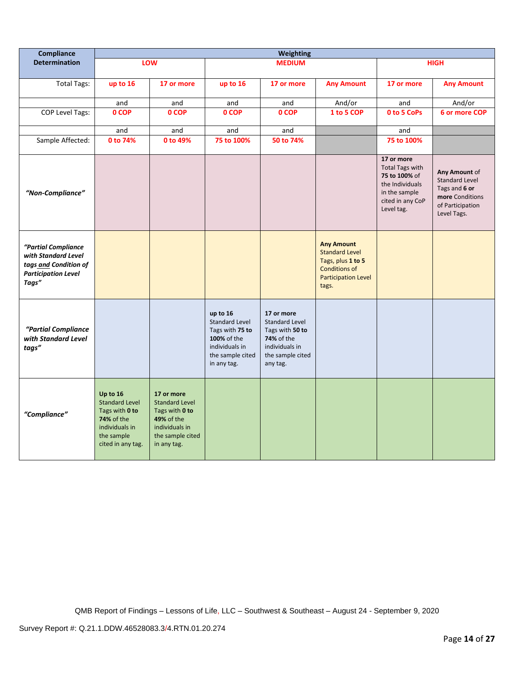| Compliance                                                                                                 | <b>Weighting</b>                                                                                                              |                                                                                                                                 |                                                                                                                          |                                                                                                                        |                                                                                                                                |                                                                                                                             |                                                                                                               |
|------------------------------------------------------------------------------------------------------------|-------------------------------------------------------------------------------------------------------------------------------|---------------------------------------------------------------------------------------------------------------------------------|--------------------------------------------------------------------------------------------------------------------------|------------------------------------------------------------------------------------------------------------------------|--------------------------------------------------------------------------------------------------------------------------------|-----------------------------------------------------------------------------------------------------------------------------|---------------------------------------------------------------------------------------------------------------|
| <b>Determination</b>                                                                                       |                                                                                                                               | LOW                                                                                                                             |                                                                                                                          | <b>MEDIUM</b>                                                                                                          |                                                                                                                                |                                                                                                                             | <b>HIGH</b>                                                                                                   |
| <b>Total Tags:</b>                                                                                         | up to 16                                                                                                                      | 17 or more                                                                                                                      | up to 16                                                                                                                 | 17 or more                                                                                                             | <b>Any Amount</b>                                                                                                              | 17 or more                                                                                                                  | <b>Any Amount</b>                                                                                             |
|                                                                                                            | and                                                                                                                           | and                                                                                                                             | and                                                                                                                      | and                                                                                                                    | And/or                                                                                                                         | and                                                                                                                         | And/or                                                                                                        |
| <b>COP Level Tags:</b>                                                                                     | 0 COP                                                                                                                         | 0 COP                                                                                                                           | 0 COP                                                                                                                    | 0 COP                                                                                                                  | 1 to 5 COP                                                                                                                     | 0 to 5 CoPs                                                                                                                 | 6 or more COP                                                                                                 |
|                                                                                                            | and                                                                                                                           | and                                                                                                                             | and                                                                                                                      | and                                                                                                                    |                                                                                                                                | and                                                                                                                         |                                                                                                               |
| Sample Affected:                                                                                           | 0 to 74%                                                                                                                      | 0 to 49%                                                                                                                        | 75 to 100%                                                                                                               | 50 to 74%                                                                                                              |                                                                                                                                | 75 to 100%                                                                                                                  |                                                                                                               |
| "Non-Compliance"                                                                                           |                                                                                                                               |                                                                                                                                 |                                                                                                                          |                                                                                                                        |                                                                                                                                | 17 or more<br><b>Total Tags with</b><br>75 to 100% of<br>the Individuals<br>in the sample<br>cited in any CoP<br>Level tag. | Any Amount of<br><b>Standard Level</b><br>Tags and 6 or<br>more Conditions<br>of Participation<br>Level Tags. |
| "Partial Compliance<br>with Standard Level<br>tags and Condition of<br><b>Participation Level</b><br>Tags" |                                                                                                                               |                                                                                                                                 |                                                                                                                          |                                                                                                                        | <b>Any Amount</b><br><b>Standard Level</b><br>Tags, plus 1 to 5<br><b>Conditions of</b><br><b>Participation Level</b><br>tags. |                                                                                                                             |                                                                                                               |
| "Partial Compliance<br>with Standard Level<br>tags"                                                        |                                                                                                                               |                                                                                                                                 | up to 16<br><b>Standard Level</b><br>Tags with 75 to<br>100% of the<br>individuals in<br>the sample cited<br>in any tag. | 17 or more<br><b>Standard Level</b><br>Tags with 50 to<br>74% of the<br>individuals in<br>the sample cited<br>any tag. |                                                                                                                                |                                                                                                                             |                                                                                                               |
| "Compliance"                                                                                               | Up to 16<br><b>Standard Level</b><br>Tags with 0 to<br><b>74% of the</b><br>individuals in<br>the sample<br>cited in any tag. | 17 or more<br><b>Standard Level</b><br>Tags with 0 to<br><b>49% of the</b><br>individuals in<br>the sample cited<br>in any tag. |                                                                                                                          |                                                                                                                        |                                                                                                                                |                                                                                                                             |                                                                                                               |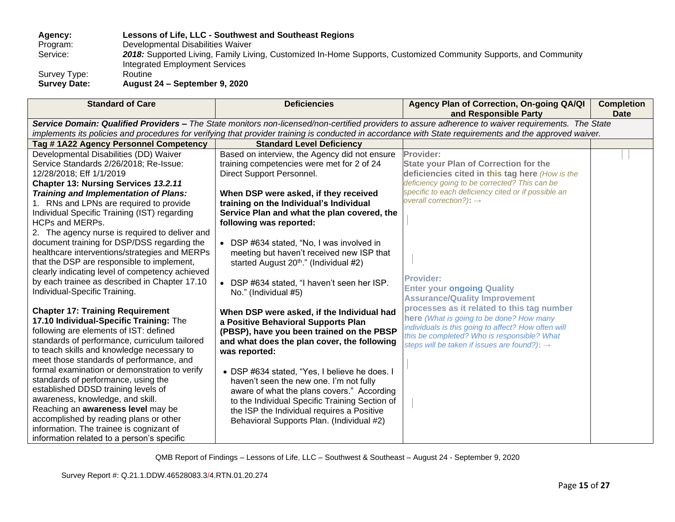**Agency: Lessons of Life, LLC - Southwest and Southeast Regions** Program: Developmental Disabilities Waiver<br>Service: 2018: Supported Living, Family Liv 2018: Supported Living, Family Living, Customized In-Home Supports, Customized Community Supports, and Community Integrated Employment Services

Survey Type: Routine<br>
Survey Date: August **Survey Date: August 24 – September 9, 2020**

| <b>Standard of Care</b>                                                                                                                                                                                                                                                                                                                                                                                                                                                                                                                                                                                              | <b>Deficiencies</b>                                                                                                                                                                                                                                                                                                                                                                                                                                                                   | Agency Plan of Correction, On-going QA/QI<br>and Responsible Party                                                                                                                                                                                          | <b>Completion</b><br><b>Date</b> |
|----------------------------------------------------------------------------------------------------------------------------------------------------------------------------------------------------------------------------------------------------------------------------------------------------------------------------------------------------------------------------------------------------------------------------------------------------------------------------------------------------------------------------------------------------------------------------------------------------------------------|---------------------------------------------------------------------------------------------------------------------------------------------------------------------------------------------------------------------------------------------------------------------------------------------------------------------------------------------------------------------------------------------------------------------------------------------------------------------------------------|-------------------------------------------------------------------------------------------------------------------------------------------------------------------------------------------------------------------------------------------------------------|----------------------------------|
|                                                                                                                                                                                                                                                                                                                                                                                                                                                                                                                                                                                                                      |                                                                                                                                                                                                                                                                                                                                                                                                                                                                                       | Service Domain: Qualified Providers - The State monitors non-licensed/non-certified providers to assure adherence to waiver requirements. The State                                                                                                         |                                  |
|                                                                                                                                                                                                                                                                                                                                                                                                                                                                                                                                                                                                                      |                                                                                                                                                                                                                                                                                                                                                                                                                                                                                       | implements its policies and procedures for verifying that provider training is conducted in accordance with State requirements and the approved waiver.                                                                                                     |                                  |
| Tag #1A22 Agency Personnel Competency                                                                                                                                                                                                                                                                                                                                                                                                                                                                                                                                                                                | <b>Standard Level Deficiency</b>                                                                                                                                                                                                                                                                                                                                                                                                                                                      |                                                                                                                                                                                                                                                             |                                  |
| Developmental Disabilities (DD) Waiver<br>Service Standards 2/26/2018; Re-Issue:<br>12/28/2018; Eff 1/1/2019<br>Chapter 13: Nursing Services 13.2.11<br><b>Training and Implementation of Plans:</b><br>1. RNs and LPNs are required to provide<br>Individual Specific Training (IST) regarding<br><b>HCPs and MERPs.</b><br>2. The agency nurse is required to deliver and                                                                                                                                                                                                                                          | Based on interview, the Agency did not ensure<br>training competencies were met for 2 of 24<br>Direct Support Personnel.<br>When DSP were asked, if they received<br>training on the Individual's Individual<br>Service Plan and what the plan covered, the<br>following was reported:                                                                                                                                                                                                | Provider:<br><b>State your Plan of Correction for the</b><br>deficiencies cited in this tag here (How is the<br>deficiency going to be corrected? This can be<br>specific to each deficiency cited or if possible an<br>overall correction?): $\rightarrow$ |                                  |
| document training for DSP/DSS regarding the<br>healthcare interventions/strategies and MERPs<br>that the DSP are responsible to implement,<br>clearly indicating level of competency achieved<br>by each trainee as described in Chapter 17.10<br>Individual-Specific Training.                                                                                                                                                                                                                                                                                                                                      | • DSP #634 stated, "No, I was involved in<br>meeting but haven't received new ISP that<br>started August 20th." (Individual #2)<br>• DSP #634 stated, "I haven't seen her ISP.<br>No." (Individual #5)                                                                                                                                                                                                                                                                                | <b>Provider:</b><br><b>Enter your ongoing Quality</b><br><b>Assurance/Quality Improvement</b>                                                                                                                                                               |                                  |
| <b>Chapter 17: Training Requirement</b><br>17.10 Individual-Specific Training: The<br>following are elements of IST: defined<br>standards of performance, curriculum tailored<br>to teach skills and knowledge necessary to<br>meet those standards of performance, and<br>formal examination or demonstration to verify<br>standards of performance, using the<br>established DDSD training levels of<br>awareness, knowledge, and skill.<br>Reaching an awareness level may be<br>accomplished by reading plans or other<br>information. The trainee is cognizant of<br>information related to a person's specific | When DSP were asked, if the Individual had<br>a Positive Behavioral Supports Plan<br>(PBSP), have you been trained on the PBSP<br>and what does the plan cover, the following<br>was reported:<br>• DSP #634 stated, "Yes, I believe he does. I<br>haven't seen the new one. I'm not fully<br>aware of what the plans covers." According<br>to the Individual Specific Training Section of<br>the ISP the Individual requires a Positive<br>Behavioral Supports Plan. (Individual #2) | processes as it related to this tag number<br>here (What is going to be done? How many<br>individuals is this going to affect? How often will<br>this be completed? Who is responsible? What<br>steps will be taken if issues are found?): $\rightarrow$    |                                  |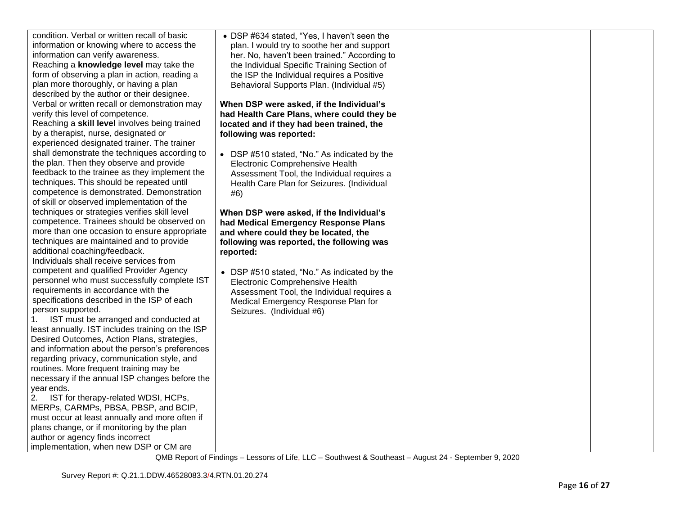| • DSP #634 stated, "Yes, I haven't seen the  |
|----------------------------------------------|
|                                              |
| plan. I would try to soothe her and support  |
| her. No, haven't been trained." According to |
| the Individual Specific Training Section of  |
| the ISP the Individual requires a Positive   |
| Behavioral Supports Plan. (Individual #5)    |
|                                              |
| When DSP were asked, if the Individual's     |
| had Health Care Plans, where could they be   |
| located and if they had been trained, the    |
| following was reported:                      |
|                                              |
| • DSP #510 stated, "No." As indicated by the |
| Electronic Comprehensive Health              |
| Assessment Tool, the Individual requires a   |
| Health Care Plan for Seizures. (Individual   |
| #6)                                          |
|                                              |
| When DSP were asked, if the Individual's     |
| had Medical Emergency Response Plans         |
|                                              |
| and where could they be located, the         |
| following was reported, the following was    |
| reported:                                    |
|                                              |
| • DSP #510 stated, "No." As indicated by the |
| Electronic Comprehensive Health              |
| Assessment Tool, the Individual requires a   |
| Medical Emergency Response Plan for          |
| Seizures. (Individual #6)                    |
|                                              |
|                                              |
|                                              |
|                                              |
|                                              |
|                                              |
|                                              |
|                                              |
|                                              |
|                                              |
|                                              |
|                                              |
|                                              |
|                                              |
|                                              |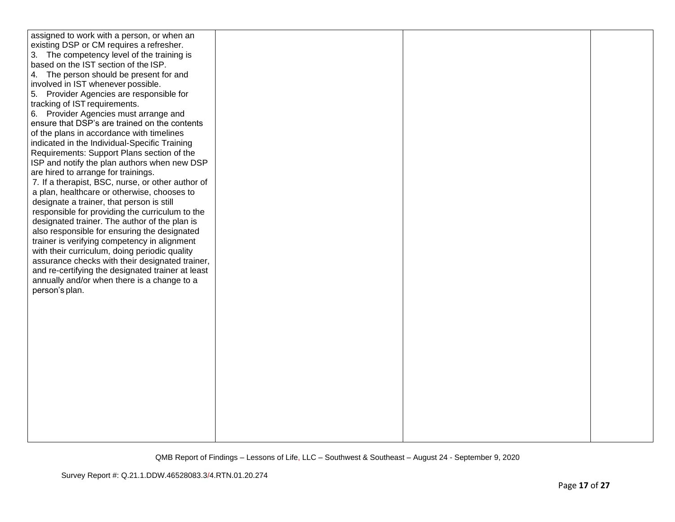| assigned to work with a person, or when an<br>existing DSP or CM requires a refresher.<br>3. The competency level of the training is<br>based on the IST section of the ISP.<br>4. The person should be present for and<br>involved in IST whenever possible.<br>5. Provider Agencies are responsible for<br>tracking of IST requirements.<br>6. Provider Agencies must arrange and<br>ensure that DSP's are trained on the contents<br>of the plans in accordance with timelines<br>indicated in the Individual-Specific Training<br>Requirements: Support Plans section of the<br>ISP and notify the plan authors when new DSP<br>are hired to arrange for trainings.<br>7. If a therapist, BSC, nurse, or other author of<br>a plan, healthcare or otherwise, chooses to<br>designate a trainer, that person is still<br>responsible for providing the curriculum to the<br>designated trainer. The author of the plan is<br>also responsible for ensuring the designated<br>trainer is verifying competency in alignment<br>with their curriculum, doing periodic quality<br>assurance checks with their designated trainer,<br>and re-certifying the designated trainer at least<br>annually and/or when there is a change to a<br>person's plan. |  |  |
|--------------------------------------------------------------------------------------------------------------------------------------------------------------------------------------------------------------------------------------------------------------------------------------------------------------------------------------------------------------------------------------------------------------------------------------------------------------------------------------------------------------------------------------------------------------------------------------------------------------------------------------------------------------------------------------------------------------------------------------------------------------------------------------------------------------------------------------------------------------------------------------------------------------------------------------------------------------------------------------------------------------------------------------------------------------------------------------------------------------------------------------------------------------------------------------------------------------------------------------------------------|--|--|
|                                                                                                                                                                                                                                                                                                                                                                                                                                                                                                                                                                                                                                                                                                                                                                                                                                                                                                                                                                                                                                                                                                                                                                                                                                                        |  |  |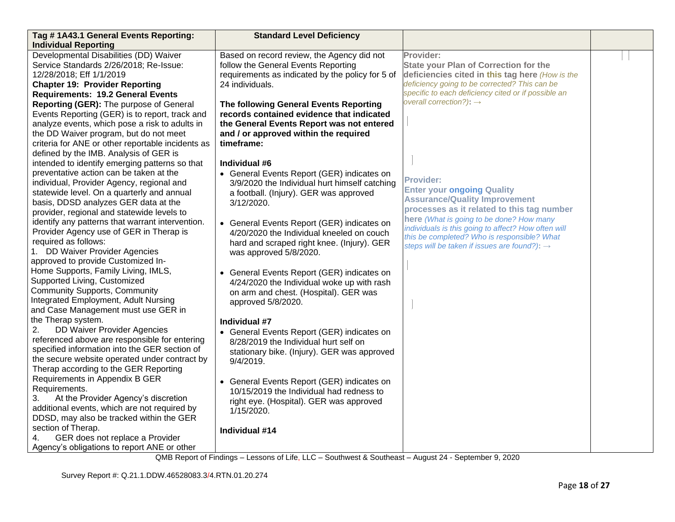| Tag #1A43.1 General Events Reporting:                           | <b>Standard Level Deficiency</b>                            |                                                                                            |  |
|-----------------------------------------------------------------|-------------------------------------------------------------|--------------------------------------------------------------------------------------------|--|
| <b>Individual Reporting</b>                                     |                                                             |                                                                                            |  |
| Developmental Disabilities (DD) Waiver                          | Based on record review, the Agency did not                  | Provider:                                                                                  |  |
| Service Standards 2/26/2018; Re-Issue:                          | follow the General Events Reporting                         | <b>State your Plan of Correction for the</b>                                               |  |
| 12/28/2018; Eff 1/1/2019                                        | requirements as indicated by the policy for 5 of            | deficiencies cited in this tag here (How is the                                            |  |
| <b>Chapter 19: Provider Reporting</b>                           | 24 individuals.                                             | deficiency going to be corrected? This can be                                              |  |
| <b>Requirements: 19.2 General Events</b>                        |                                                             | specific to each deficiency cited or if possible an<br>overall correction?): $\rightarrow$ |  |
| Reporting (GER): The purpose of General                         | The following General Events Reporting                      |                                                                                            |  |
| Events Reporting (GER) is to report, track and                  | records contained evidence that indicated                   |                                                                                            |  |
| analyze events, which pose a risk to adults in                  | the General Events Report was not entered                   |                                                                                            |  |
| the DD Waiver program, but do not meet                          | and / or approved within the required                       |                                                                                            |  |
| criteria for ANE or other reportable incidents as               | timeframe:                                                  |                                                                                            |  |
| defined by the IMB. Analysis of GER is                          |                                                             |                                                                                            |  |
| intended to identify emerging patterns so that                  | Individual #6                                               |                                                                                            |  |
| preventative action can be taken at the                         | • General Events Report (GER) indicates on                  | <b>Provider:</b>                                                                           |  |
| individual, Provider Agency, regional and                       | 3/9/2020 the Individual hurt himself catching               | <b>Enter your ongoing Quality</b>                                                          |  |
| statewide level. On a quarterly and annual                      | a football. (Injury). GER was approved                      | <b>Assurance/Quality Improvement</b>                                                       |  |
| basis, DDSD analyzes GER data at the                            | 3/12/2020.                                                  | processes as it related to this tag number                                                 |  |
| provider, regional and statewide levels to                      |                                                             | here (What is going to be done? How many                                                   |  |
| identify any patterns that warrant intervention.                | • General Events Report (GER) indicates on                  | individuals is this going to affect? How often will                                        |  |
| Provider Agency use of GER in Therap is<br>required as follows: | 4/20/2020 the Individual kneeled on couch                   | this be completed? Who is responsible? What                                                |  |
| 1. DD Waiver Provider Agencies                                  | hard and scraped right knee. (Injury). GER                  | steps will be taken if issues are found?): $\rightarrow$                                   |  |
| approved to provide Customized In-                              | was approved 5/8/2020.                                      |                                                                                            |  |
| Home Supports, Family Living, IMLS,                             |                                                             |                                                                                            |  |
| Supported Living, Customized                                    | • General Events Report (GER) indicates on                  |                                                                                            |  |
| <b>Community Supports, Community</b>                            | 4/24/2020 the Individual woke up with rash                  |                                                                                            |  |
| Integrated Employment, Adult Nursing                            | on arm and chest. (Hospital). GER was<br>approved 5/8/2020. |                                                                                            |  |
| and Case Management must use GER in                             |                                                             |                                                                                            |  |
| the Therap system.                                              | Individual #7                                               |                                                                                            |  |
| 2.<br>DD Waiver Provider Agencies                               | • General Events Report (GER) indicates on                  |                                                                                            |  |
| referenced above are responsible for entering                   | 8/28/2019 the Individual hurt self on                       |                                                                                            |  |
| specified information into the GER section of                   | stationary bike. (Injury). GER was approved                 |                                                                                            |  |
| the secure website operated under contract by                   | 9/4/2019.                                                   |                                                                                            |  |
| Therap according to the GER Reporting                           |                                                             |                                                                                            |  |
| Requirements in Appendix B GER                                  | • General Events Report (GER) indicates on                  |                                                                                            |  |
| Requirements.                                                   | 10/15/2019 the Individual had redness to                    |                                                                                            |  |
| 3.<br>At the Provider Agency's discretion                       | right eye. (Hospital). GER was approved                     |                                                                                            |  |
| additional events, which are not required by                    | 1/15/2020.                                                  |                                                                                            |  |
| DDSD, may also be tracked within the GER                        |                                                             |                                                                                            |  |
| section of Therap.                                              | Individual #14                                              |                                                                                            |  |
| GER does not replace a Provider<br>4.                           |                                                             |                                                                                            |  |
| Agency's obligations to report ANE or other                     |                                                             |                                                                                            |  |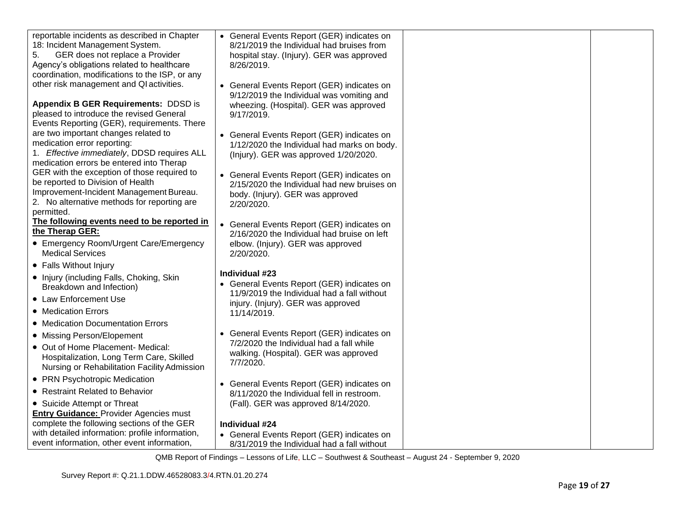| reportable incidents as described in Chapter                                     | • General Events Report (GER) indicates on                                                |  |
|----------------------------------------------------------------------------------|-------------------------------------------------------------------------------------------|--|
| 18: Incident Management System.<br>5.<br>GER does not replace a Provider         | 8/21/2019 the Individual had bruises from<br>hospital stay. (Injury). GER was approved    |  |
| Agency's obligations related to healthcare                                       | 8/26/2019.                                                                                |  |
| coordination, modifications to the ISP, or any                                   |                                                                                           |  |
| other risk management and QI activities.                                         | • General Events Report (GER) indicates on                                                |  |
|                                                                                  | 9/12/2019 the Individual was vomiting and                                                 |  |
| <b>Appendix B GER Requirements: DDSD is</b>                                      | wheezing. (Hospital). GER was approved                                                    |  |
| pleased to introduce the revised General                                         | 9/17/2019.                                                                                |  |
| Events Reporting (GER), requirements. There                                      |                                                                                           |  |
| are two important changes related to                                             | • General Events Report (GER) indicates on                                                |  |
| medication error reporting:                                                      | 1/12/2020 the Individual had marks on body.                                               |  |
| 1. Effective immediately, DDSD requires ALL                                      | (Injury). GER was approved 1/20/2020.                                                     |  |
| medication errors be entered into Therap                                         |                                                                                           |  |
| GER with the exception of those required to<br>be reported to Division of Health | • General Events Report (GER) indicates on                                                |  |
| Improvement-Incident Management Bureau.                                          | 2/15/2020 the Individual had new bruises on                                               |  |
| 2. No alternative methods for reporting are                                      | body. (Injury). GER was approved<br>2/20/2020.                                            |  |
| permitted.                                                                       |                                                                                           |  |
| The following events need to be reported in                                      | • General Events Report (GER) indicates on                                                |  |
| the Therap GER:                                                                  | 2/16/2020 the Individual had bruise on left                                               |  |
| • Emergency Room/Urgent Care/Emergency                                           | elbow. (Injury). GER was approved                                                         |  |
| <b>Medical Services</b>                                                          | 2/20/2020.                                                                                |  |
| • Falls Without Injury                                                           |                                                                                           |  |
| • Injury (including Falls, Choking, Skin                                         | Individual #23                                                                            |  |
| Breakdown and Infection)                                                         | • General Events Report (GER) indicates on<br>11/9/2019 the Individual had a fall without |  |
| • Law Enforcement Use                                                            | injury. (Injury). GER was approved                                                        |  |
| • Medication Errors                                                              | 11/14/2019.                                                                               |  |
| • Medication Documentation Errors                                                |                                                                                           |  |
| • Missing Person/Elopement                                                       | • General Events Report (GER) indicates on                                                |  |
| • Out of Home Placement- Medical:                                                | 7/2/2020 the Individual had a fall while                                                  |  |
| Hospitalization, Long Term Care, Skilled                                         | walking. (Hospital). GER was approved<br>7/7/2020.                                        |  |
| Nursing or Rehabilitation Facility Admission                                     |                                                                                           |  |
| • PRN Psychotropic Medication                                                    | • General Events Report (GER) indicates on                                                |  |
| • Restraint Related to Behavior                                                  | 8/11/2020 the Individual fell in restroom.                                                |  |
| • Suicide Attempt or Threat                                                      | (Fall). GER was approved 8/14/2020.                                                       |  |
| <b>Entry Guidance: Provider Agencies must</b>                                    |                                                                                           |  |
| complete the following sections of the GER                                       | Individual #24                                                                            |  |
| with detailed information: profile information,                                  | • General Events Report (GER) indicates on                                                |  |
| event information, other event information,                                      | 8/31/2019 the Individual had a fall without                                               |  |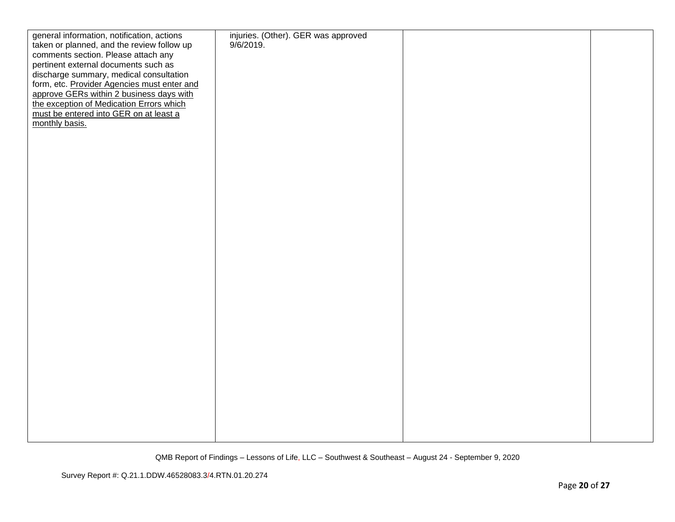| general information, notification, actions  | injuries. (Other). GER was approved |  |
|---------------------------------------------|-------------------------------------|--|
| taken or planned, and the review follow up  | $9/6/2019$ .                        |  |
| comments section. Please attach any         |                                     |  |
| pertinent external documents such as        |                                     |  |
| discharge summary, medical consultation     |                                     |  |
| form, etc. Provider Agencies must enter and |                                     |  |
|                                             |                                     |  |
| approve GERs within 2 business days with    |                                     |  |
| the exception of Medication Errors which    |                                     |  |
| must be entered into GER on at least a      |                                     |  |
| monthly basis.                              |                                     |  |
|                                             |                                     |  |
|                                             |                                     |  |
|                                             |                                     |  |
|                                             |                                     |  |
|                                             |                                     |  |
|                                             |                                     |  |
|                                             |                                     |  |
|                                             |                                     |  |
|                                             |                                     |  |
|                                             |                                     |  |
|                                             |                                     |  |
|                                             |                                     |  |
|                                             |                                     |  |
|                                             |                                     |  |
|                                             |                                     |  |
|                                             |                                     |  |
|                                             |                                     |  |
|                                             |                                     |  |
|                                             |                                     |  |
|                                             |                                     |  |
|                                             |                                     |  |
|                                             |                                     |  |
|                                             |                                     |  |
|                                             |                                     |  |
|                                             |                                     |  |
|                                             |                                     |  |
|                                             |                                     |  |
|                                             |                                     |  |
|                                             |                                     |  |
|                                             |                                     |  |
|                                             |                                     |  |
|                                             |                                     |  |
|                                             |                                     |  |
|                                             |                                     |  |
|                                             |                                     |  |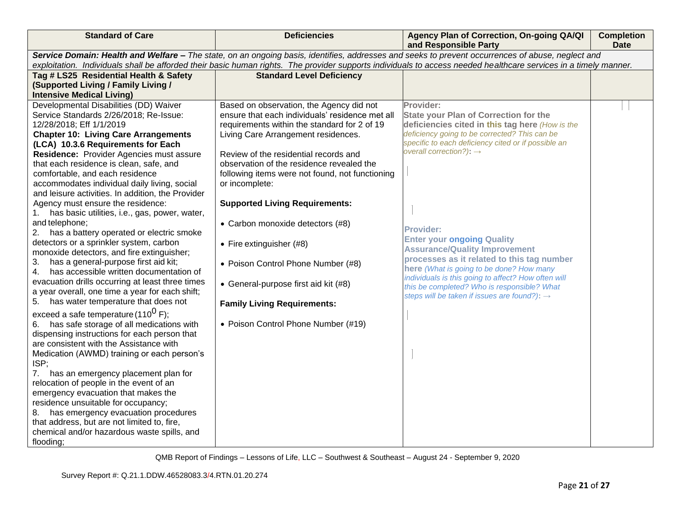| <b>Standard of Care</b>                                                       | <b>Deficiencies</b>                                                                                                                                                                                                                                                                                                   | Agency Plan of Correction, On-going QA/QI<br>and Responsible Party                 | <b>Completion</b><br><b>Date</b> |  |  |
|-------------------------------------------------------------------------------|-----------------------------------------------------------------------------------------------------------------------------------------------------------------------------------------------------------------------------------------------------------------------------------------------------------------------|------------------------------------------------------------------------------------|----------------------------------|--|--|
|                                                                               | Service Domain: Health and Welfare - The state, on an ongoing basis, identifies, addresses and seeks to prevent occurrences of abuse, neglect and<br>exploitation. Individuals shall be afforded their basic human rights. The provider supports individuals to access needed healthcare services in a timely manner. |                                                                                    |                                  |  |  |
| Tag # LS25 Residential Health & Safety                                        | <b>Standard Level Deficiency</b>                                                                                                                                                                                                                                                                                      |                                                                                    |                                  |  |  |
| (Supported Living / Family Living /                                           |                                                                                                                                                                                                                                                                                                                       |                                                                                    |                                  |  |  |
| <b>Intensive Medical Living)</b>                                              |                                                                                                                                                                                                                                                                                                                       |                                                                                    |                                  |  |  |
| Developmental Disabilities (DD) Waiver                                        | Based on observation, the Agency did not                                                                                                                                                                                                                                                                              | Provider:                                                                          |                                  |  |  |
| Service Standards 2/26/2018; Re-Issue:                                        | ensure that each individuals' residence met all                                                                                                                                                                                                                                                                       | <b>State your Plan of Correction for the</b>                                       |                                  |  |  |
| 12/28/2018; Eff 1/1/2019                                                      | requirements within the standard for 2 of 19                                                                                                                                                                                                                                                                          | deficiencies cited in this tag here (How is the                                    |                                  |  |  |
| <b>Chapter 10: Living Care Arrangements</b>                                   | Living Care Arrangement residences.                                                                                                                                                                                                                                                                                   | deficiency going to be corrected? This can be                                      |                                  |  |  |
| (LCA) 10.3.6 Requirements for Each                                            |                                                                                                                                                                                                                                                                                                                       | specific to each deficiency cited or if possible an                                |                                  |  |  |
| Residence: Provider Agencies must assure                                      | Review of the residential records and                                                                                                                                                                                                                                                                                 | overall correction?): $\rightarrow$                                                |                                  |  |  |
| that each residence is clean, safe, and                                       | observation of the residence revealed the                                                                                                                                                                                                                                                                             |                                                                                    |                                  |  |  |
| comfortable, and each residence                                               | following items were not found, not functioning                                                                                                                                                                                                                                                                       |                                                                                    |                                  |  |  |
| accommodates individual daily living, social                                  | or incomplete:                                                                                                                                                                                                                                                                                                        |                                                                                    |                                  |  |  |
| and leisure activities. In addition, the Provider                             |                                                                                                                                                                                                                                                                                                                       |                                                                                    |                                  |  |  |
| Agency must ensure the residence:                                             | <b>Supported Living Requirements:</b>                                                                                                                                                                                                                                                                                 |                                                                                    |                                  |  |  |
| has basic utilities, i.e., gas, power, water,<br>1.                           |                                                                                                                                                                                                                                                                                                                       |                                                                                    |                                  |  |  |
| and telephone;                                                                | • Carbon monoxide detectors (#8)                                                                                                                                                                                                                                                                                      |                                                                                    |                                  |  |  |
| has a battery operated or electric smoke<br>2.                                |                                                                                                                                                                                                                                                                                                                       | <b>Provider:</b>                                                                   |                                  |  |  |
| detectors or a sprinkler system, carbon                                       | • Fire extinguisher (#8)                                                                                                                                                                                                                                                                                              | <b>Enter your ongoing Quality</b>                                                  |                                  |  |  |
| monoxide detectors, and fire extinguisher;                                    |                                                                                                                                                                                                                                                                                                                       | <b>Assurance/Quality Improvement</b><br>processes as it related to this tag number |                                  |  |  |
| has a general-purpose first aid kit;<br>3.                                    | • Poison Control Phone Number (#8)                                                                                                                                                                                                                                                                                    | here (What is going to be done? How many                                           |                                  |  |  |
| has accessible written documentation of<br>4.                                 |                                                                                                                                                                                                                                                                                                                       | individuals is this going to affect? How often will                                |                                  |  |  |
| evacuation drills occurring at least three times                              | • General-purpose first aid kit (#8)                                                                                                                                                                                                                                                                                  | this be completed? Who is responsible? What                                        |                                  |  |  |
| a year overall, one time a year for each shift;                               |                                                                                                                                                                                                                                                                                                                       | steps will be taken if issues are found?): $\rightarrow$                           |                                  |  |  |
| 5. has water temperature that does not                                        | <b>Family Living Requirements:</b>                                                                                                                                                                                                                                                                                    |                                                                                    |                                  |  |  |
| exceed a safe temperature (110 <sup>0</sup> F);                               |                                                                                                                                                                                                                                                                                                                       |                                                                                    |                                  |  |  |
| 6. has safe storage of all medications with                                   | • Poison Control Phone Number (#19)                                                                                                                                                                                                                                                                                   |                                                                                    |                                  |  |  |
| dispensing instructions for each person that                                  |                                                                                                                                                                                                                                                                                                                       |                                                                                    |                                  |  |  |
| are consistent with the Assistance with                                       |                                                                                                                                                                                                                                                                                                                       |                                                                                    |                                  |  |  |
| Medication (AWMD) training or each person's                                   |                                                                                                                                                                                                                                                                                                                       |                                                                                    |                                  |  |  |
| ISP;                                                                          |                                                                                                                                                                                                                                                                                                                       |                                                                                    |                                  |  |  |
| 7. has an emergency placement plan for                                        |                                                                                                                                                                                                                                                                                                                       |                                                                                    |                                  |  |  |
| relocation of people in the event of an                                       |                                                                                                                                                                                                                                                                                                                       |                                                                                    |                                  |  |  |
| emergency evacuation that makes the                                           |                                                                                                                                                                                                                                                                                                                       |                                                                                    |                                  |  |  |
| residence unsuitable for occupancy;<br>8. has emergency evacuation procedures |                                                                                                                                                                                                                                                                                                                       |                                                                                    |                                  |  |  |
| that address, but are not limited to, fire,                                   |                                                                                                                                                                                                                                                                                                                       |                                                                                    |                                  |  |  |
| chemical and/or hazardous waste spills, and                                   |                                                                                                                                                                                                                                                                                                                       |                                                                                    |                                  |  |  |
| flooding;                                                                     |                                                                                                                                                                                                                                                                                                                       |                                                                                    |                                  |  |  |
|                                                                               |                                                                                                                                                                                                                                                                                                                       |                                                                                    |                                  |  |  |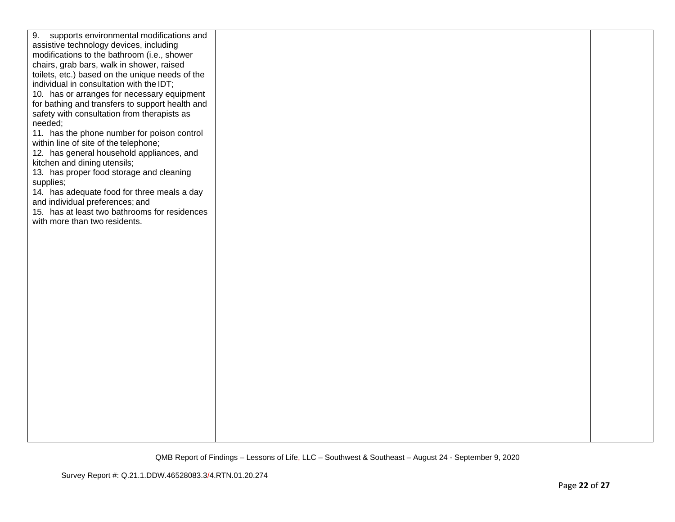| 9. supports environmental modifications and     |  |  |
|-------------------------------------------------|--|--|
| assistive technology devices, including         |  |  |
| modifications to the bathroom (i.e., shower     |  |  |
| chairs, grab bars, walk in shower, raised       |  |  |
| toilets, etc.) based on the unique needs of the |  |  |
| individual in consultation with the IDT;        |  |  |
| 10. has or arranges for necessary equipment     |  |  |
| for bathing and transfers to support health and |  |  |
| safety with consultation from therapists as     |  |  |
| needed;                                         |  |  |
| 11. has the phone number for poison control     |  |  |
| within line of site of the telephone;           |  |  |
| 12. has general household appliances, and       |  |  |
| kitchen and dining utensils;                    |  |  |
| 13. has proper food storage and cleaning        |  |  |
| supplies;                                       |  |  |
| 14. has adequate food for three meals a day     |  |  |
| and individual preferences; and                 |  |  |
| 15. has at least two bathrooms for residences   |  |  |
| with more than two residents.                   |  |  |
|                                                 |  |  |
|                                                 |  |  |
|                                                 |  |  |
|                                                 |  |  |
|                                                 |  |  |
|                                                 |  |  |
|                                                 |  |  |
|                                                 |  |  |
|                                                 |  |  |
|                                                 |  |  |
|                                                 |  |  |
|                                                 |  |  |
|                                                 |  |  |
|                                                 |  |  |
|                                                 |  |  |
|                                                 |  |  |
|                                                 |  |  |
|                                                 |  |  |
|                                                 |  |  |
|                                                 |  |  |
|                                                 |  |  |
|                                                 |  |  |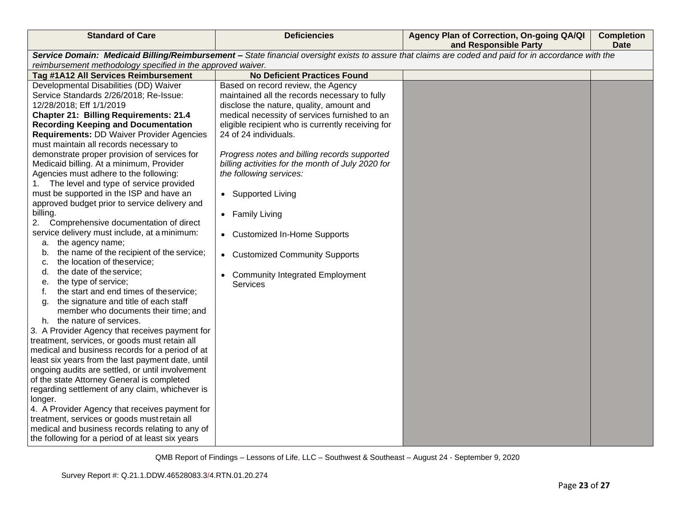| <b>Standard of Care</b>                                                                        | <b>Deficiencies</b>                               | Agency Plan of Correction, On-going QA/QI<br>and Responsible Party                                                                                    | <b>Completion</b><br><b>Date</b> |
|------------------------------------------------------------------------------------------------|---------------------------------------------------|-------------------------------------------------------------------------------------------------------------------------------------------------------|----------------------------------|
|                                                                                                |                                                   | Service Domain: Medicaid Billing/Reimbursement - State financial oversight exists to assure that claims are coded and paid for in accordance with the |                                  |
| reimbursement methodology specified in the approved waiver.                                    |                                                   |                                                                                                                                                       |                                  |
| Tag #1A12 All Services Reimbursement                                                           | <b>No Deficient Practices Found</b>               |                                                                                                                                                       |                                  |
| Developmental Disabilities (DD) Waiver                                                         | Based on record review, the Agency                |                                                                                                                                                       |                                  |
| Service Standards 2/26/2018; Re-Issue:                                                         | maintained all the records necessary to fully     |                                                                                                                                                       |                                  |
| 12/28/2018; Eff 1/1/2019                                                                       | disclose the nature, quality, amount and          |                                                                                                                                                       |                                  |
| <b>Chapter 21: Billing Requirements: 21.4</b>                                                  | medical necessity of services furnished to an     |                                                                                                                                                       |                                  |
| <b>Recording Keeping and Documentation</b>                                                     | eligible recipient who is currently receiving for |                                                                                                                                                       |                                  |
| <b>Requirements: DD Waiver Provider Agencies</b>                                               | 24 of 24 individuals.                             |                                                                                                                                                       |                                  |
| must maintain all records necessary to                                                         |                                                   |                                                                                                                                                       |                                  |
| demonstrate proper provision of services for                                                   | Progress notes and billing records supported      |                                                                                                                                                       |                                  |
| Medicaid billing. At a minimum, Provider                                                       | billing activities for the month of July 2020 for |                                                                                                                                                       |                                  |
| Agencies must adhere to the following:                                                         | the following services:                           |                                                                                                                                                       |                                  |
| 1. The level and type of service provided                                                      |                                                   |                                                                                                                                                       |                                  |
| must be supported in the ISP and have an                                                       | • Supported Living                                |                                                                                                                                                       |                                  |
| approved budget prior to service delivery and<br>billing.                                      |                                                   |                                                                                                                                                       |                                  |
| 2.<br>Comprehensive documentation of direct                                                    | • Family Living                                   |                                                                                                                                                       |                                  |
| service delivery must include, at a minimum:                                                   |                                                   |                                                                                                                                                       |                                  |
| the agency name;<br>a.                                                                         | • Customized In-Home Supports                     |                                                                                                                                                       |                                  |
| the name of the recipient of the service;<br>b.                                                |                                                   |                                                                                                                                                       |                                  |
| the location of theservice;<br>c.                                                              | • Customized Community Supports                   |                                                                                                                                                       |                                  |
| the date of the service;<br>d.                                                                 | <b>Community Integrated Employment</b>            |                                                                                                                                                       |                                  |
| the type of service;<br>е.                                                                     | <b>Services</b>                                   |                                                                                                                                                       |                                  |
| the start and end times of theservice;<br>f.                                                   |                                                   |                                                                                                                                                       |                                  |
| the signature and title of each staff<br>a.                                                    |                                                   |                                                                                                                                                       |                                  |
| member who documents their time; and                                                           |                                                   |                                                                                                                                                       |                                  |
| the nature of services.<br>h.                                                                  |                                                   |                                                                                                                                                       |                                  |
| 3. A Provider Agency that receives payment for                                                 |                                                   |                                                                                                                                                       |                                  |
| treatment, services, or goods must retain all                                                  |                                                   |                                                                                                                                                       |                                  |
| medical and business records for a period of at                                                |                                                   |                                                                                                                                                       |                                  |
| least six years from the last payment date, until                                              |                                                   |                                                                                                                                                       |                                  |
| ongoing audits are settled, or until involvement                                               |                                                   |                                                                                                                                                       |                                  |
| of the state Attorney General is completed                                                     |                                                   |                                                                                                                                                       |                                  |
| regarding settlement of any claim, whichever is                                                |                                                   |                                                                                                                                                       |                                  |
| longer.                                                                                        |                                                   |                                                                                                                                                       |                                  |
| 4. A Provider Agency that receives payment for<br>treatment, services or goods must retain all |                                                   |                                                                                                                                                       |                                  |
| medical and business records relating to any of                                                |                                                   |                                                                                                                                                       |                                  |
| the following for a period of at least six years                                               |                                                   |                                                                                                                                                       |                                  |
|                                                                                                |                                                   |                                                                                                                                                       |                                  |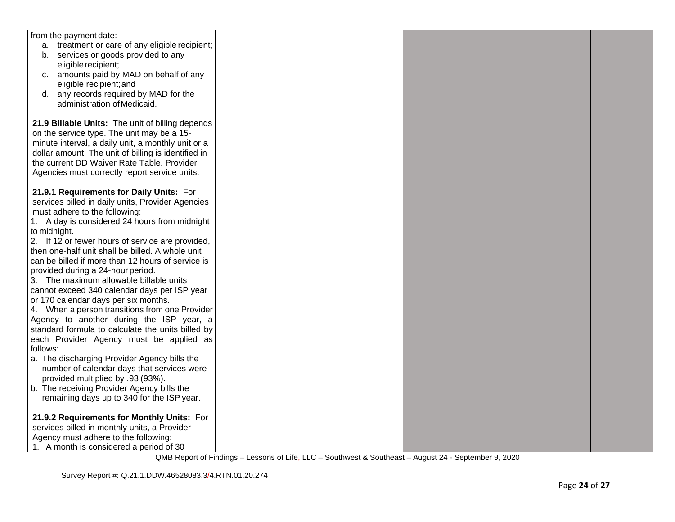| from the payment date:                                                                     |  |  |
|--------------------------------------------------------------------------------------------|--|--|
| a. treatment or care of any eligible recipient;                                            |  |  |
| services or goods provided to any<br>b.                                                    |  |  |
| eligible recipient;                                                                        |  |  |
| c. amounts paid by MAD on behalf of any                                                    |  |  |
| eligible recipient; and                                                                    |  |  |
| d. any records required by MAD for the                                                     |  |  |
| administration of Medicaid.                                                                |  |  |
|                                                                                            |  |  |
| 21.9 Billable Units: The unit of billing depends                                           |  |  |
| on the service type. The unit may be a 15-                                                 |  |  |
| minute interval, a daily unit, a monthly unit or a                                         |  |  |
| dollar amount. The unit of billing is identified in                                        |  |  |
| the current DD Waiver Rate Table. Provider                                                 |  |  |
| Agencies must correctly report service units.                                              |  |  |
|                                                                                            |  |  |
| 21.9.1 Requirements for Daily Units: For                                                   |  |  |
| services billed in daily units, Provider Agencies                                          |  |  |
| must adhere to the following:                                                              |  |  |
| 1. A day is considered 24 hours from midnight                                              |  |  |
| to midnight.                                                                               |  |  |
| 2. If 12 or fewer hours of service are provided,                                           |  |  |
| then one-half unit shall be billed. A whole unit                                           |  |  |
|                                                                                            |  |  |
| can be billed if more than 12 hours of service is                                          |  |  |
| provided during a 24-hour period.                                                          |  |  |
| 3. The maximum allowable billable units                                                    |  |  |
| cannot exceed 340 calendar days per ISP year                                               |  |  |
| or 170 calendar days per six months.                                                       |  |  |
| 4. When a person transitions from one Provider                                             |  |  |
| Agency to another during the ISP year, a                                                   |  |  |
| standard formula to calculate the units billed by                                          |  |  |
| each Provider Agency must be applied as<br>follows:                                        |  |  |
|                                                                                            |  |  |
| a. The discharging Provider Agency bills the<br>number of calendar days that services were |  |  |
|                                                                                            |  |  |
| provided multiplied by .93 (93%).                                                          |  |  |
| b. The receiving Provider Agency bills the                                                 |  |  |
| remaining days up to 340 for the ISP year.                                                 |  |  |
|                                                                                            |  |  |
| 21.9.2 Requirements for Monthly Units: For                                                 |  |  |
| services billed in monthly units, a Provider                                               |  |  |
| Agency must adhere to the following:                                                       |  |  |
| 1. A month is considered a period of 30                                                    |  |  |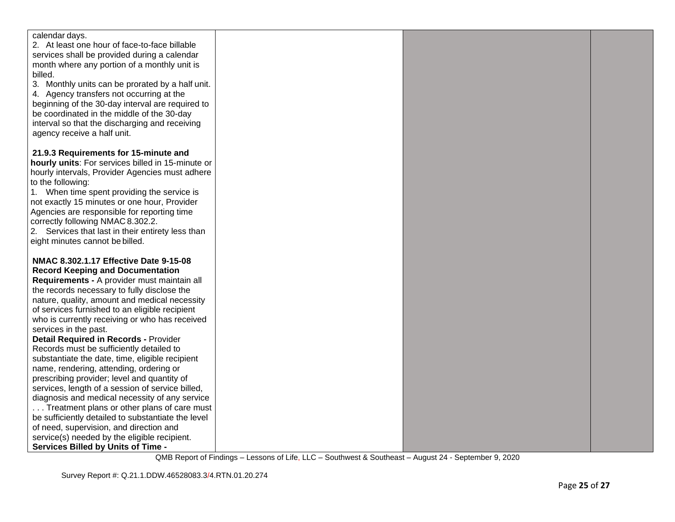| calendar days.                                     |  |  |
|----------------------------------------------------|--|--|
| 2. At least one hour of face-to-face billable      |  |  |
| services shall be provided during a calendar       |  |  |
| month where any portion of a monthly unit is       |  |  |
| billed.                                            |  |  |
| 3. Monthly units can be prorated by a half unit.   |  |  |
| 4. Agency transfers not occurring at the           |  |  |
| beginning of the 30-day interval are required to   |  |  |
| be coordinated in the middle of the 30-day         |  |  |
| interval so that the discharging and receiving     |  |  |
| agency receive a half unit.                        |  |  |
|                                                    |  |  |
| 21.9.3 Requirements for 15-minute and              |  |  |
| hourly units: For services billed in 15-minute or  |  |  |
| hourly intervals, Provider Agencies must adhere    |  |  |
| to the following:                                  |  |  |
| 1. When time spent providing the service is        |  |  |
| not exactly 15 minutes or one hour, Provider       |  |  |
| Agencies are responsible for reporting time        |  |  |
| correctly following NMAC 8.302.2.                  |  |  |
| 2. Services that last in their entirety less than  |  |  |
| eight minutes cannot be billed.                    |  |  |
|                                                    |  |  |
| NMAC 8.302.1.17 Effective Date 9-15-08             |  |  |
| <b>Record Keeping and Documentation</b>            |  |  |
| Requirements - A provider must maintain all        |  |  |
| the records necessary to fully disclose the        |  |  |
| nature, quality, amount and medical necessity      |  |  |
| of services furnished to an eligible recipient     |  |  |
| who is currently receiving or who has received     |  |  |
| services in the past.                              |  |  |
| <b>Detail Required in Records - Provider</b>       |  |  |
| Records must be sufficiently detailed to           |  |  |
| substantiate the date, time, eligible recipient    |  |  |
| name, rendering, attending, ordering or            |  |  |
| prescribing provider; level and quantity of        |  |  |
| services, length of a session of service billed,   |  |  |
| diagnosis and medical necessity of any service     |  |  |
| Treatment plans or other plans of care must        |  |  |
| be sufficiently detailed to substantiate the level |  |  |
| of need, supervision, and direction and            |  |  |
| service(s) needed by the eligible recipient.       |  |  |
| <b>Services Billed by Units of Time -</b>          |  |  |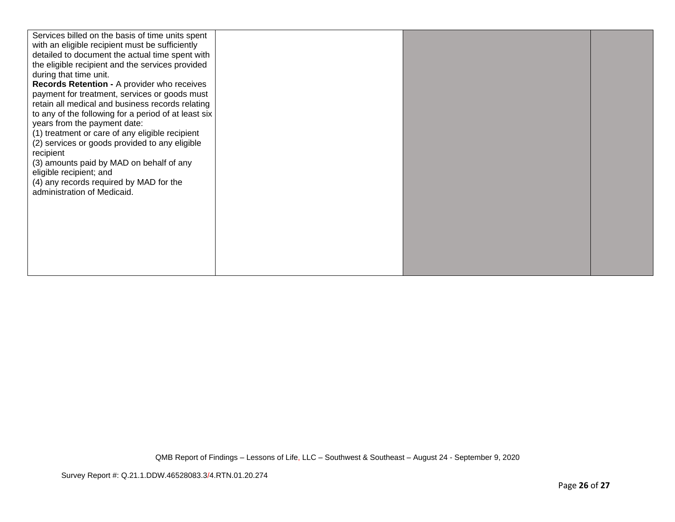| Services billed on the basis of time units spent<br>with an eligible recipient must be sufficiently<br>detailed to document the actual time spent with<br>the eligible recipient and the services provided<br>during that time unit.<br>Records Retention - A provider who receives<br>payment for treatment, services or goods must<br>retain all medical and business records relating<br>to any of the following for a period of at least six<br>years from the payment date:<br>(1) treatment or care of any eligible recipient<br>(2) services or goods provided to any eligible<br>recipient<br>(3) amounts paid by MAD on behalf of any<br>eligible recipient; and<br>(4) any records required by MAD for the<br>administration of Medicaid. |  |  |
|-----------------------------------------------------------------------------------------------------------------------------------------------------------------------------------------------------------------------------------------------------------------------------------------------------------------------------------------------------------------------------------------------------------------------------------------------------------------------------------------------------------------------------------------------------------------------------------------------------------------------------------------------------------------------------------------------------------------------------------------------------|--|--|
|                                                                                                                                                                                                                                                                                                                                                                                                                                                                                                                                                                                                                                                                                                                                                     |  |  |
|                                                                                                                                                                                                                                                                                                                                                                                                                                                                                                                                                                                                                                                                                                                                                     |  |  |